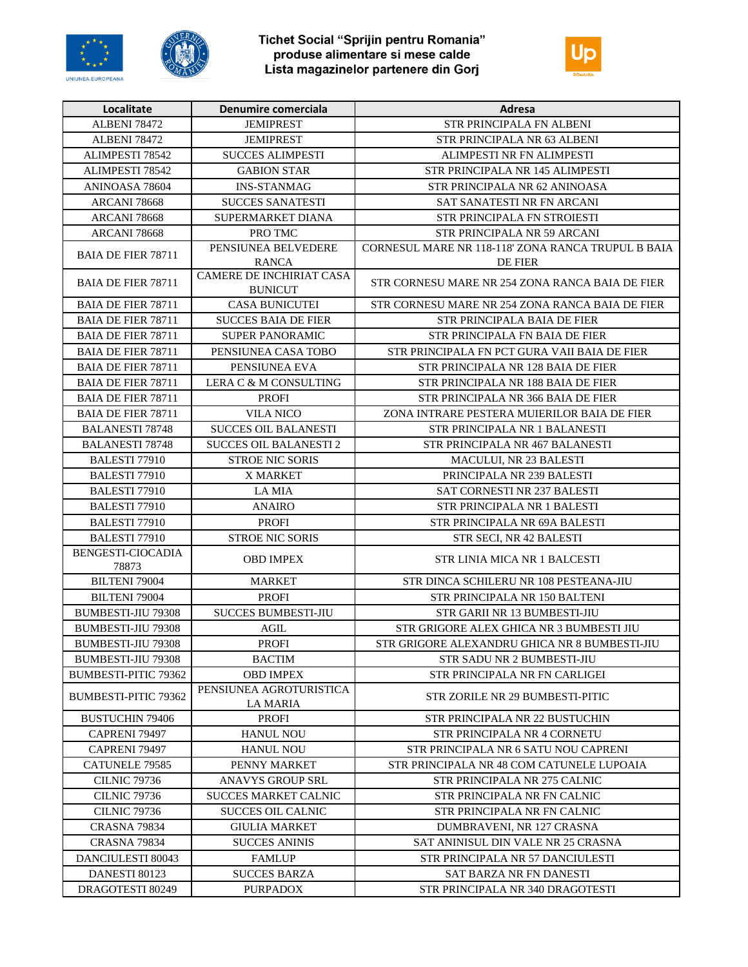





| Localitate                  | Denumire comerciala                        | <b>Adresa</b>                                                 |
|-----------------------------|--------------------------------------------|---------------------------------------------------------------|
| <b>ALBENI 78472</b>         | <b>JEMIPREST</b>                           | STR PRINCIPALA FN ALBENI                                      |
| <b>ALBENI 78472</b>         | <b>JEMIPREST</b>                           | STR PRINCIPALA NR 63 ALBENI                                   |
| ALIMPESTI 78542             | <b>SUCCES ALIMPESTI</b>                    | ALIMPESTI NR FN ALIMPESTI                                     |
| ALIMPESTI 78542             | <b>GABION STAR</b>                         | STR PRINCIPALA NR 145 ALIMPESTI                               |
| ANINOASA 78604              | <b>INS-STANMAG</b>                         | STR PRINCIPALA NR 62 ANINOASA                                 |
| <b>ARCANI 78668</b>         | <b>SUCCES SANATESTI</b>                    | SAT SANATESTI NR FN ARCANI                                    |
| ARCANI 78668                | SUPERMARKET DIANA                          | STR PRINCIPALA FN STROIESTI                                   |
| ARCANI 78668                | PRO TMC                                    | STR PRINCIPALA NR 59 ARCANI                                   |
| <b>BAIA DE FIER 78711</b>   | PENSIUNEA BELVEDERE<br><b>RANCA</b>        | CORNESUL MARE NR 118-118' ZONA RANCA TRUPUL B BAIA<br>DE FIER |
| <b>BAIA DE FIER 78711</b>   | CAMERE DE INCHIRIAT CASA<br><b>BUNICUT</b> | STR CORNESU MARE NR 254 ZONA RANCA BAIA DE FIER               |
| <b>BAIA DE FIER 78711</b>   | <b>CASA BUNICUTEI</b>                      | STR CORNESU MARE NR 254 ZONA RANCA BAIA DE FIER               |
| <b>BAIA DE FIER 78711</b>   | <b>SUCCES BAIA DE FIER</b>                 | STR PRINCIPALA BAIA DE FIER                                   |
| <b>BAIA DE FIER 78711</b>   | <b>SUPER PANORAMIC</b>                     | STR PRINCIPALA FN BAIA DE FIER                                |
| <b>BAIA DE FIER 78711</b>   | PENSIUNEA CASA TOBO                        | STR PRINCIPALA FN PCT GURA VAII BAIA DE FIER                  |
| <b>BAIA DE FIER 78711</b>   | PENSIUNEA EVA                              | STR PRINCIPALA NR 128 BAIA DE FIER                            |
| <b>BAIA DE FIER 78711</b>   | LERA C & M CONSULTING                      | STR PRINCIPALA NR 188 BAIA DE FIER                            |
| <b>BAIA DE FIER 78711</b>   | <b>PROFI</b>                               | STR PRINCIPALA NR 366 BAIA DE FIER                            |
| <b>BAIA DE FIER 78711</b>   | <b>VILA NICO</b>                           | ZONA INTRARE PESTERA MUIERILOR BAIA DE FIER                   |
| <b>BALANESTI 78748</b>      | <b>SUCCES OIL BALANESTI</b>                | STR PRINCIPALA NR 1 BALANESTI                                 |
| <b>BALANESTI 78748</b>      | <b>SUCCES OIL BALANESTI 2</b>              | STR PRINCIPALA NR 467 BALANESTI                               |
| <b>BALESTI 77910</b>        | <b>STROE NIC SORIS</b>                     | <b>MACULUI, NR 23 BALESTI</b>                                 |
| <b>BALESTI 77910</b>        | X MARKET                                   | PRINCIPALA NR 239 BALESTI                                     |
| <b>BALESTI 77910</b>        | LA MIA                                     | SAT CORNESTI NR 237 BALESTI                                   |
| <b>BALESTI 77910</b>        | <b>ANAIRO</b>                              | STR PRINCIPALA NR 1 BALESTI                                   |
| <b>BALESTI 77910</b>        | PROFI                                      | STR PRINCIPALA NR 69A BALESTI                                 |
| <b>BALESTI 77910</b>        | <b>STROE NIC SORIS</b>                     | STR SECI, NR 42 BALESTI                                       |
| BENGESTI-CIOCADIA<br>78873  | <b>OBD IMPEX</b>                           | STR LINIA MICA NR 1 BALCESTI                                  |
| BILTENI 79004               | <b>MARKET</b>                              | STR DINCA SCHILERU NR 108 PESTEANA-JIU                        |
| <b>BILTENI 79004</b>        | PROFI                                      | STR PRINCIPALA NR 150 BALTENI                                 |
| <b>BUMBESTI-JIU 79308</b>   | <b>SUCCES BUMBESTI-JIU</b>                 | STR GARII NR 13 BUMBESTI-JIU                                  |
| <b>BUMBESTI-JIU 79308</b>   | <b>AGIL</b>                                | STR GRIGORE ALEX GHICA NR 3 BUMBESTI JIU                      |
| <b>BUMBESTI-JIU 79308</b>   | <b>PROFI</b>                               | STR GRIGORE ALEXANDRU GHICA NR 8 BUMBESTI-JIU                 |
| <b>BUMBESTI-JIU 79308</b>   | <b>BACTIM</b>                              | STR SADU NR 2 BUMBESTI-JIU                                    |
| <b>BUMBESTI-PITIC 79362</b> | <b>OBD IMPEX</b>                           | STR PRINCIPALA NR FN CARLIGEI                                 |
| <b>BUMBESTI-PITIC 79362</b> | PENSIUNEA AGROTURISTICA<br>LA MARIA        | STR ZORILE NR 29 BUMBESTI-PITIC                               |
| <b>BUSTUCHIN 79406</b>      | <b>PROFI</b>                               | STR PRINCIPALA NR 22 BUSTUCHIN                                |
| CAPRENI 79497               | <b>HANUL NOU</b>                           | STR PRINCIPALA NR 4 CORNETU                                   |
| CAPRENI 79497               | <b>HANUL NOU</b>                           | STR PRINCIPALA NR 6 SATU NOU CAPRENI                          |
| CATUNELE 79585              | PENNY MARKET                               | STR PRINCIPALA NR 48 COM CATUNELE LUPOAIA                     |
| <b>CILNIC 79736</b>         | ANAVYS GROUP SRL                           | STR PRINCIPALA NR 275 CALNIC                                  |
| <b>CILNIC 79736</b>         | <b>SUCCES MARKET CALNIC</b>                | STR PRINCIPALA NR FN CALNIC                                   |
| <b>CILNIC 79736</b>         | <b>SUCCES OIL CALNIC</b>                   | STR PRINCIPALA NR FN CALNIC                                   |
| CRASNA 79834                | <b>GIULIA MARKET</b>                       | DUMBRAVENI, NR 127 CRASNA                                     |
| CRASNA 79834                | <b>SUCCES ANINIS</b>                       | SAT ANINISUL DIN VALE NR 25 CRASNA                            |
| DANCIULESTI 80043           | <b>FAMLUP</b>                              | STR PRINCIPALA NR 57 DANCIULESTI                              |
| DANESTI 80123               | <b>SUCCES BARZA</b>                        | SAT BARZA NR FN DANESTI                                       |
| DRAGOTESTI 80249            | <b>PURPADOX</b>                            | STR PRINCIPALA NR 340 DRAGOTESTI                              |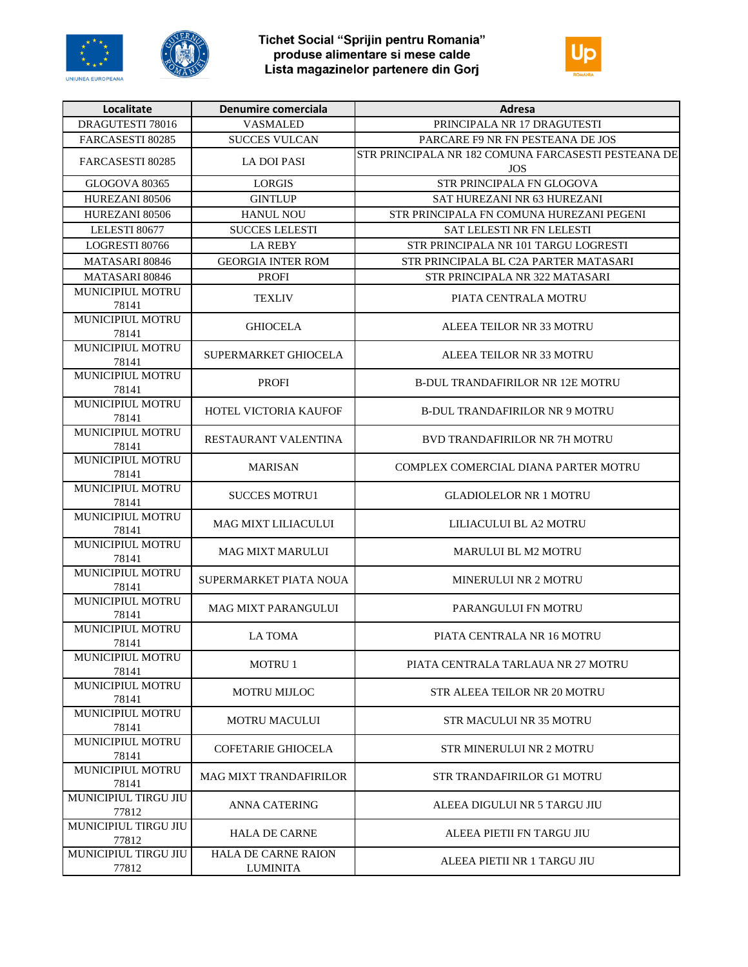





| Localitate                | Denumire comerciala           | <b>Adresa</b>                                              |
|---------------------------|-------------------------------|------------------------------------------------------------|
| DRAGUTESTI 78016          | <b>VASMALED</b>               | PRINCIPALA NR 17 DRAGUTESTI                                |
| FARCASESTI 80285          | <b>SUCCES VULCAN</b>          | PARCARE F9 NR FN PESTEANA DE JOS                           |
| FARCASESTI 80285          | <b>LA DOI PASI</b>            | STR PRINCIPALA NR 182 COMUNA FARCASESTI PESTEANA DE<br>JOS |
| GLOGOVA 80365             | <b>LORGIS</b>                 | STR PRINCIPALA FN GLOGOVA                                  |
| HUREZANI 80506            | <b>GINTLUP</b>                | SAT HUREZANI NR 63 HUREZANI                                |
| HUREZANI 80506            | <b>HANUL NOU</b>              | STR PRINCIPALA FN COMUNA HUREZANI PEGENI                   |
| LELESTI 80677             | <b>SUCCES LELESTI</b>         | SAT LELESTI NR FN LELESTI                                  |
| LOGRESTI 80766            | <b>LA REBY</b>                | STR PRINCIPALA NR 101 TARGU LOGRESTI                       |
| MATASARI 80846            | <b>GEORGIA INTER ROM</b>      | STR PRINCIPALA BL C2A PARTER MATASARI                      |
| MATASARI 80846            | <b>PROFI</b>                  | STR PRINCIPALA NR 322 MATASARI                             |
| MUNICIPIUL MOTRU          |                               |                                                            |
| 78141                     | <b>TEXLIV</b>                 | PIATA CENTRALA MOTRU                                       |
| MUNICIPIUL MOTRU          |                               |                                                            |
| 78141                     | <b>GHIOCELA</b>               | ALEEA TEILOR NR 33 MOTRU                                   |
| MUNICIPIUL MOTRU          |                               |                                                            |
| 78141                     | SUPERMARKET GHIOCELA          | ALEEA TEILOR NR 33 MOTRU                                   |
| MUNICIPIUL MOTRU          |                               |                                                            |
| 78141                     | <b>PROFI</b>                  | <b>B-DUL TRANDAFIRILOR NR 12E MOTRU</b>                    |
| MUNICIPIUL MOTRU          |                               |                                                            |
| 78141                     | HOTEL VICTORIA KAUFOF         | <b>B-DUL TRANDAFIRILOR NR 9 MOTRU</b>                      |
| MUNICIPIUL MOTRU          |                               |                                                            |
| 78141                     | RESTAURANT VALENTINA          | <b>BVD TRANDAFIRILOR NR 7H MOTRU</b>                       |
| MUNICIPIUL MOTRU          |                               |                                                            |
| 78141                     | <b>MARISAN</b>                | COMPLEX COMERCIAL DIANA PARTER MOTRU                       |
| MUNICIPIUL MOTRU          | <b>SUCCES MOTRU1</b>          | <b>GLADIOLELOR NR 1 MOTRU</b>                              |
| 78141                     |                               |                                                            |
| MUNICIPIUL MOTRU          | <b>MAG MIXT LILIACULUI</b>    | LILIACULUI BL A2 MOTRU                                     |
| 78141                     |                               |                                                            |
| MUNICIPIUL MOTRU          | <b>MAG MIXT MARULUI</b>       | <b>MARULUI BL M2 MOTRU</b>                                 |
| 78141                     |                               |                                                            |
| MUNICIPIUL MOTRU          | SUPERMARKET PIATA NOUA        | <b>MINERULUI NR 2 MOTRU</b>                                |
| 78141                     |                               |                                                            |
| MUNICIPIUL MOTRU          | MAG MIXT PARANGULUI           | PARANGULUI FN MOTRU                                        |
| 78141<br>MUNICIPIUL MOTRU |                               |                                                            |
| 78141                     | <b>LA TOMA</b>                | PIATA CENTRALA NR 16 MOTRU                                 |
| MUNICIPIUL MOTRU          |                               |                                                            |
| 78141                     | <b>MOTRU1</b>                 | PIATA CENTRALA TARLAUA NR 27 MOTRU                         |
| MUNICIPIUL MOTRU          |                               |                                                            |
| 78141                     | <b>MOTRU MIJLOC</b>           | STR ALEEA TEILOR NR 20 MOTRU                               |
| MUNICIPIUL MOTRU          |                               |                                                            |
| 78141                     | <b>MOTRU MACULUI</b>          | <b>STR MACULUI NR 35 MOTRU</b>                             |
| MUNICIPIUL MOTRU          |                               |                                                            |
| 78141                     | <b>COFETARIE GHIOCELA</b>     | <b>STR MINERULUI NR 2 MOTRU</b>                            |
| MUNICIPIUL MOTRU          |                               |                                                            |
| 78141                     | <b>MAG MIXT TRANDAFIRILOR</b> | STR TRANDAFIRILOR G1 MOTRU                                 |
| MUNICIPIUL TIRGU JIU      | <b>ANNA CATERING</b>          | ALEEA DIGULUI NR 5 TARGU JIU                               |
| 77812                     |                               |                                                            |
| MUNICIPIUL TIRGU JIU      | <b>HALA DE CARNE</b>          | ALEEA PIETII FN TARGU JIU                                  |
| 77812                     |                               |                                                            |
| MUNICIPIUL TIRGU JIU      | <b>HALA DE CARNE RAION</b>    | ALEEA PIETII NR 1 TARGU JIU                                |
| 77812                     | <b>LUMINITA</b>               |                                                            |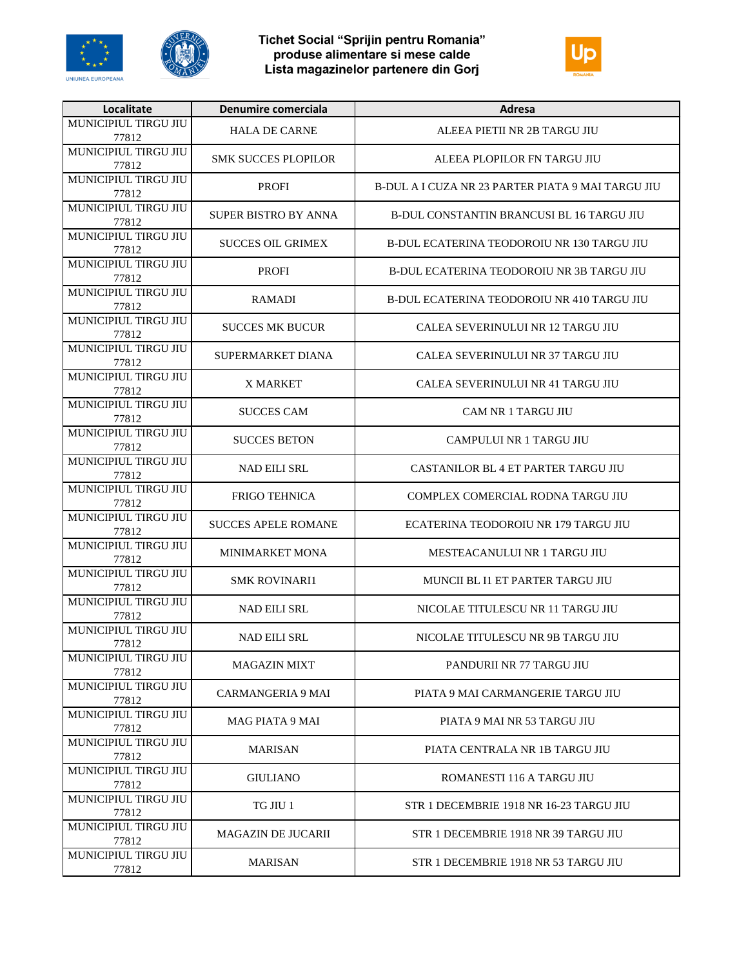





| Localitate                    | Denumire comerciala         | <b>Adresa</b>                                            |
|-------------------------------|-----------------------------|----------------------------------------------------------|
| MUNICIPIUL TIRGU JIU<br>77812 | <b>HALA DE CARNE</b>        | ALEEA PIETII NR 2B TARGU JIU                             |
| MUNICIPIUL TIRGU JIU<br>77812 | <b>SMK SUCCES PLOPILOR</b>  | ALEEA PLOPILOR FN TARGU JIU                              |
| MUNICIPIUL TIRGU JIU<br>77812 | <b>PROFI</b>                | <b>B-DUL A I CUZA NR 23 PARTER PIATA 9 MAI TARGU JIU</b> |
| MUNICIPIUL TIRGU JIU<br>77812 | <b>SUPER BISTRO BY ANNA</b> | B-DUL CONSTANTIN BRANCUSI BL 16 TARGU JIU                |
| MUNICIPIUL TIRGU JIU<br>77812 | <b>SUCCES OIL GRIMEX</b>    | <b>B-DUL ECATERINA TEODOROIU NR 130 TARGU JIU</b>        |
| MUNICIPIUL TIRGU JIU<br>77812 | <b>PROFI</b>                | <b>B-DUL ECATERINA TEODOROIU NR 3B TARGU JIU</b>         |
| MUNICIPIUL TIRGU JIU<br>77812 | <b>RAMADI</b>               | B-DUL ECATERINA TEODOROIU NR 410 TARGU JIU               |
| MUNICIPIUL TIRGU JIU<br>77812 | <b>SUCCES MK BUCUR</b>      | CALEA SEVERINULUI NR 12 TARGU JIU                        |
| MUNICIPIUL TIRGU JIU<br>77812 | SUPERMARKET DIANA           | CALEA SEVERINULUI NR 37 TARGU JIU                        |
| MUNICIPIUL TIRGU JIU<br>77812 | X MARKET                    | CALEA SEVERINULUI NR 41 TARGU JIU                        |
| MUNICIPIUL TIRGU JIU<br>77812 | <b>SUCCES CAM</b>           | <b>CAM NR 1 TARGU JIU</b>                                |
| MUNICIPIUL TIRGU JIU<br>77812 | <b>SUCCES BETON</b>         | <b>CAMPULUI NR 1 TARGU JIU</b>                           |
| MUNICIPIUL TIRGU JIU<br>77812 | <b>NAD EILI SRL</b>         | <b>CASTANILOR BL 4 ET PARTER TARGU JIU</b>               |
| MUNICIPIUL TIRGU JIU<br>77812 | <b>FRIGO TEHNICA</b>        | COMPLEX COMERCIAL RODNA TARGU JIU                        |
| MUNICIPIUL TIRGU JIU<br>77812 | <b>SUCCES APELE ROMANE</b>  | ECATERINA TEODOROIU NR 179 TARGU JIU                     |
| MUNICIPIUL TIRGU JIU<br>77812 | MINIMARKET MONA             | MESTEACANULUI NR 1 TARGU JIU                             |
| MUNICIPIUL TIRGU JIU<br>77812 | <b>SMK ROVINARI1</b>        | MUNCII BL I1 ET PARTER TARGU JIU                         |
| MUNICIPIUL TIRGU JIU<br>77812 | <b>NAD EILI SRL</b>         | NICOLAE TITULESCU NR 11 TARGU JIU                        |
| MUNICIPIUL TIRGU JIU<br>77812 | <b>NAD EILI SRL</b>         | NICOLAE TITULESCU NR 9B TARGU JIU                        |
| MUNICIPIUL TIRGU JIU<br>77812 | <b>MAGAZIN MIXT</b>         | PANDURII NR 77 TARGU JIU                                 |
| MUNICIPIUL TIRGU JIU<br>77812 | CARMANGERIA 9 MAI           | PIATA 9 MAI CARMANGERIE TARGU JIU                        |
| MUNICIPIUL TIRGU JIU<br>77812 | <b>MAG PIATA 9 MAI</b>      | PIATA 9 MAI NR 53 TARGU JIU                              |
| MUNICIPIUL TIRGU JIU<br>77812 | <b>MARISAN</b>              | PIATA CENTRALA NR 1B TARGU JIU                           |
| MUNICIPIUL TIRGU JIU<br>77812 | <b>GIULIANO</b>             | ROMANESTI 116 A TARGU JIU                                |
| MUNICIPIUL TIRGU JIU<br>77812 | TG JIU 1                    | STR 1 DECEMBRIE 1918 NR 16-23 TARGU JIU                  |
| MUNICIPIUL TIRGU JIU<br>77812 | <b>MAGAZIN DE JUCARII</b>   | STR 1 DECEMBRIE 1918 NR 39 TARGU JIU                     |
| MUNICIPIUL TIRGU JIU<br>77812 | <b>MARISAN</b>              | STR 1 DECEMBRIE 1918 NR 53 TARGU JIU                     |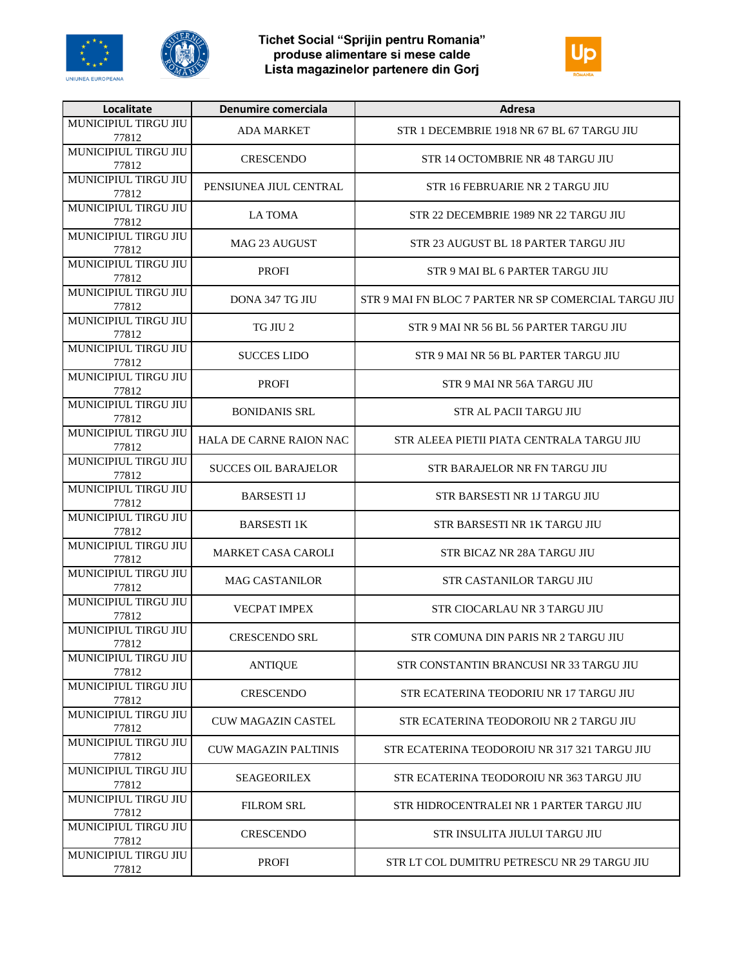





| Localitate                    | Denumire comerciala         | Adresa                                               |
|-------------------------------|-----------------------------|------------------------------------------------------|
| MUNICIPIUL TIRGU JIU<br>77812 | <b>ADA MARKET</b>           | STR 1 DECEMBRIE 1918 NR 67 BL 67 TARGU JIU           |
| MUNICIPIUL TIRGU JIU<br>77812 | <b>CRESCENDO</b>            | STR 14 OCTOMBRIE NR 48 TARGU JIU                     |
| MUNICIPIUL TIRGU JIU<br>77812 | PENSIUNEA JIUL CENTRAL      | STR 16 FEBRUARIE NR 2 TARGU JIU                      |
| MUNICIPIUL TIRGU JIU<br>77812 | <b>LA TOMA</b>              | STR 22 DECEMBRIE 1989 NR 22 TARGU JIU                |
| MUNICIPIUL TIRGU JIU<br>77812 | MAG 23 AUGUST               | STR 23 AUGUST BL 18 PARTER TARGU JIU                 |
| MUNICIPIUL TIRGU JIU<br>77812 | <b>PROFI</b>                | STR 9 MAI BL 6 PARTER TARGU JIU                      |
| MUNICIPIUL TIRGU JIU<br>77812 | DONA 347 TG JIU             | STR 9 MAI FN BLOC 7 PARTER NR SP COMERCIAL TARGU JIU |
| MUNICIPIUL TIRGU JIU<br>77812 | TG JIU 2                    | STR 9 MAI NR 56 BL 56 PARTER TARGU JIU               |
| MUNICIPIUL TIRGU JIU<br>77812 | <b>SUCCES LIDO</b>          | STR 9 MAI NR 56 BL PARTER TARGU JIU                  |
| MUNICIPIUL TIRGU JIU<br>77812 | <b>PROFI</b>                | STR 9 MAI NR 56A TARGU JIU                           |
| MUNICIPIUL TIRGU JIU<br>77812 | <b>BONIDANIS SRL</b>        | STR AL PACII TARGU JIU                               |
| MUNICIPIUL TIRGU JIU<br>77812 | HALA DE CARNE RAION NAC     | STR ALEEA PIETII PIATA CENTRALA TARGU JIU            |
| MUNICIPIUL TIRGU JIU<br>77812 | <b>SUCCES OIL BARAJELOR</b> | STR BARAJELOR NR FN TARGU JIU                        |
| MUNICIPIUL TIRGU JIU<br>77812 | <b>BARSESTI 1J</b>          | STR BARSESTI NR 1J TARGU JIU                         |
| MUNICIPIUL TIRGU JIU<br>77812 | <b>BARSESTI 1K</b>          | STR BARSESTI NR 1K TARGU JIU                         |
| MUNICIPIUL TIRGU JIU<br>77812 | <b>MARKET CASA CAROLI</b>   | STR BICAZ NR 28A TARGU JIU                           |
| MUNICIPIUL TIRGU JIU<br>77812 | <b>MAG CASTANILOR</b>       | STR CASTANILOR TARGU JIU                             |
| MUNICIPIUL TIRGU JIU<br>77812 | <b>VECPAT IMPEX</b>         | STR CIOCARLAU NR 3 TARGU JIU                         |
| MUNICIPIUL TIRGU JIU<br>77812 | <b>CRESCENDO SRL</b>        | STR COMUNA DIN PARIS NR 2 TARGU JIU                  |
| MUNICIPIUL TIRGU JIU<br>77812 | <b>ANTIQUE</b>              | STR CONSTANTIN BRANCUSI NR 33 TARGU JIU              |
| MUNICIPIUL TIRGU JIU<br>77812 | <b>CRESCENDO</b>            | STR ECATERINA TEODORIU NR 17 TARGU JIU               |
| MUNICIPIUL TIRGU JIU<br>77812 | <b>CUW MAGAZIN CASTEL</b>   | STR ECATERINA TEODOROIU NR 2 TARGU JIU               |
| MUNICIPIUL TIRGU JIU<br>77812 | <b>CUW MAGAZIN PALTINIS</b> | STR ECATERINA TEODOROIU NR 317 321 TARGU JIU         |
| MUNICIPIUL TIRGU JIU<br>77812 | <b>SEAGEORILEX</b>          | STR ECATERINA TEODOROIU NR 363 TARGU JIU             |
| MUNICIPIUL TIRGU JIU<br>77812 | <b>FILROM SRL</b>           | STR HIDROCENTRALEI NR 1 PARTER TARGU JIU             |
| MUNICIPIUL TIRGU JIU<br>77812 | <b>CRESCENDO</b>            | STR INSULITA JIULUI TARGU JIU                        |
| MUNICIPIUL TIRGU JIU<br>77812 | <b>PROFI</b>                | STR LT COL DUMITRU PETRESCU NR 29 TARGU JIU          |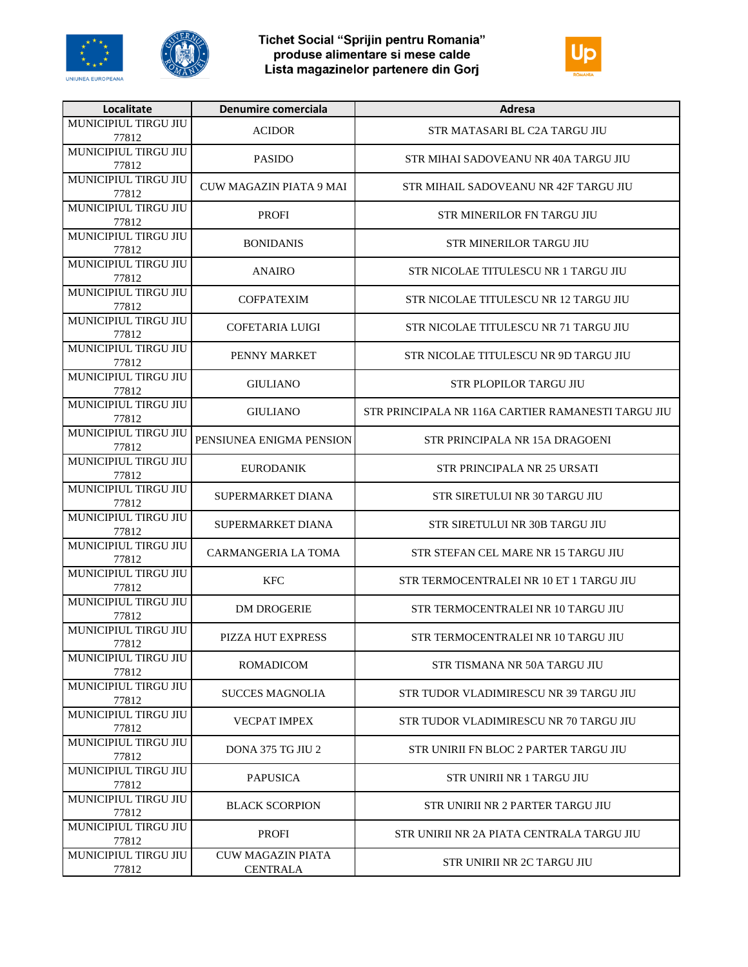





| Localitate                    | Denumire comerciala            | <b>Adresa</b>                                      |
|-------------------------------|--------------------------------|----------------------------------------------------|
| MUNICIPIUL TIRGU JIU          | <b>ACIDOR</b>                  | STR MATASARI BL C2A TARGU JIU                      |
| 77812<br>MUNICIPIUL TIRGU JIU |                                |                                                    |
| 77812                         | <b>PASIDO</b>                  | STR MIHAI SADOVEANU NR 40A TARGU JIU               |
| MUNICIPIUL TIRGU JIU          | <b>CUW MAGAZIN PIATA 9 MAI</b> | STR MIHAIL SADOVEANU NR 42F TARGU JIU              |
| 77812                         |                                |                                                    |
| MUNICIPIUL TIRGU JIU<br>77812 | <b>PROFI</b>                   | STR MINERILOR FN TARGU JIU                         |
| MUNICIPIUL TIRGU JIU          | <b>BONIDANIS</b>               | <b>STR MINERILOR TARGU JIU</b>                     |
| 77812                         |                                |                                                    |
| MUNICIPIUL TIRGU JIU<br>77812 | <b>ANAIRO</b>                  | STR NICOLAE TITULESCU NR 1 TARGU JIU               |
| MUNICIPIUL TIRGU JIU          |                                |                                                    |
| 77812                         | <b>COFPATEXIM</b>              | STR NICOLAE TITULESCU NR 12 TARGU JIU              |
| MUNICIPIUL TIRGU JIU<br>77812 | COFETARIA LUIGI                | STR NICOLAE TITULESCU NR 71 TARGU JIU              |
| MUNICIPIUL TIRGU JIU          |                                |                                                    |
| 77812                         | PENNY MARKET                   | STR NICOLAE TITULESCU NR 9D TARGU JIU              |
| MUNICIPIUL TIRGU JIU<br>77812 | <b>GIULIANO</b>                | STR PLOPILOR TARGU JIU                             |
| MUNICIPIUL TIRGU JIU          |                                |                                                    |
| 77812                         | <b>GIULIANO</b>                | STR PRINCIPALA NR 116A CARTIER RAMANESTI TARGU JIU |
| MUNICIPIUL TIRGU JIU<br>77812 | PENSIUNEA ENIGMA PENSION       | STR PRINCIPALA NR 15A DRAGOENI                     |
| MUNICIPIUL TIRGU JIU          |                                |                                                    |
| 77812                         | <b>EURODANIK</b>               | STR PRINCIPALA NR 25 URSATI                        |
| MUNICIPIUL TIRGU JIU          | SUPERMARKET DIANA              | STR SIRETULUI NR 30 TARGU JIU                      |
| 77812<br>MUNICIPIUL TIRGU JIU |                                |                                                    |
| 77812                         | SUPERMARKET DIANA              | STR SIRETULUI NR 30B TARGU JIU                     |
| MUNICIPIUL TIRGU JIU          | CARMANGERIA LA TOMA            | STR STEFAN CEL MARE NR 15 TARGU JIU                |
| 77812<br>MUNICIPIUL TIRGU JIU |                                |                                                    |
| 77812                         | <b>KFC</b>                     | STR TERMOCENTRALEI NR 10 ET 1 TARGU JIU            |
| MUNICIPIUL TIRGU JIU          | <b>DM DROGERIE</b>             | STR TERMOCENTRALEI NR 10 TARGU JIU                 |
| 77812<br>MUNICIPIUL TIRGU JIU |                                |                                                    |
| 77812                         | PIZZA HUT EXPRESS              | STR TERMOCENTRALEI NR 10 TARGU JIU                 |
| MUNICIPIUL TIRGU JIU          | <b>ROMADICOM</b>               | STR TISMANA NR 50A TARGU JIU                       |
| 77812<br>MUNICIPIUL TIRGU JIU |                                |                                                    |
| 77812                         | <b>SUCCES MAGNOLIA</b>         | STR TUDOR VLADIMIRESCU NR 39 TARGU JIU             |
| MUNICIPIUL TIRGU JIU          | VECPAT IMPEX                   | STR TUDOR VLADIMIRESCU NR 70 TARGU JIU             |
| 77812                         |                                |                                                    |
| MUNICIPIUL TIRGU JIU<br>77812 | DONA 375 TG JIU 2              | STR UNIRII FN BLOC 2 PARTER TARGU JIU              |
| MUNICIPIUL TIRGU JIU          | <b>PAPUSICA</b>                | STR UNIRII NR 1 TARGU JIU                          |
| 77812                         |                                |                                                    |
| MUNICIPIUL TIRGU JIU<br>77812 | <b>BLACK SCORPION</b>          | STR UNIRII NR 2 PARTER TARGU JIU                   |
| MUNICIPIUL TIRGU JIU          |                                |                                                    |
| 77812                         | <b>PROFI</b>                   | STR UNIRII NR 2A PIATA CENTRALA TARGU JIU          |
| MUNICIPIUL TIRGU JIU          | <b>CUW MAGAZIN PIATA</b>       | STR UNIRII NR 2C TARGU JIU                         |
| 77812                         | <b>CENTRALA</b>                |                                                    |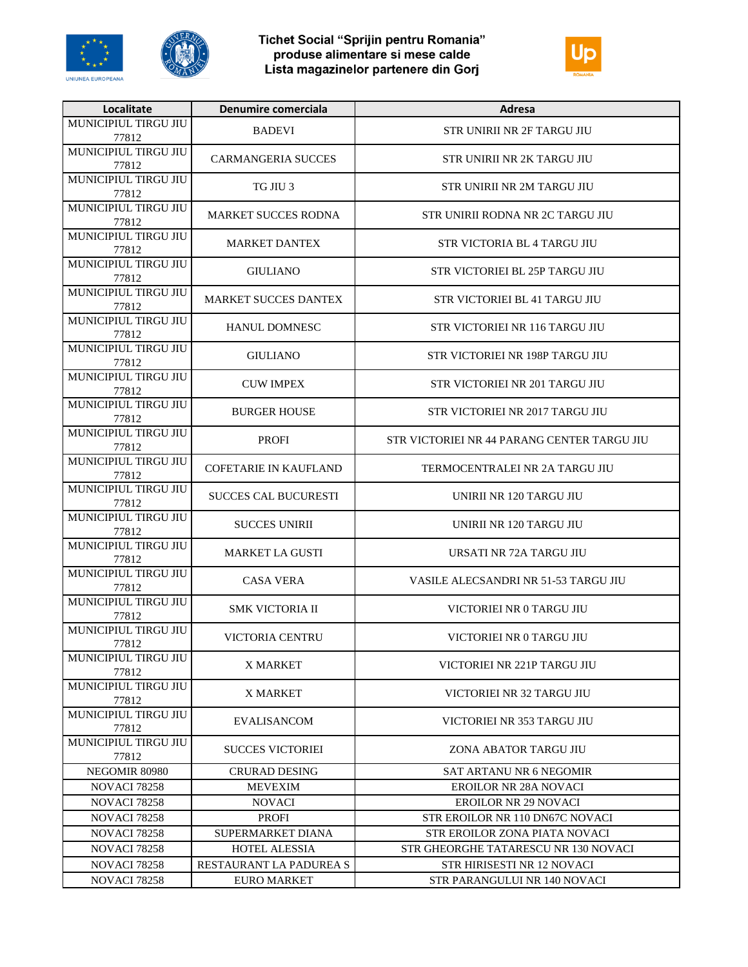





| Localitate                    | Denumire comerciala          | Adresa                                      |
|-------------------------------|------------------------------|---------------------------------------------|
| MUNICIPIUL TIRGU JIU<br>77812 | <b>BADEVI</b>                | STR UNIRII NR 2F TARGU JIU                  |
| MUNICIPIUL TIRGU JIU<br>77812 | <b>CARMANGERIA SUCCES</b>    | STR UNIRII NR 2K TARGU JIU                  |
| MUNICIPIUL TIRGU JIU<br>77812 | TG JIU 3                     | STR UNIRII NR 2M TARGU JIU                  |
| MUNICIPIUL TIRGU JIU<br>77812 | <b>MARKET SUCCES RODNA</b>   | STR UNIRII RODNA NR 2C TARGU JIU            |
| MUNICIPIUL TIRGU JIU<br>77812 | <b>MARKET DANTEX</b>         | STR VICTORIA BL 4 TARGU JIU                 |
| MUNICIPIUL TIRGU JIU<br>77812 | <b>GIULIANO</b>              | STR VICTORIEI BL 25P TARGU JIU              |
| MUNICIPIUL TIRGU JIU<br>77812 | <b>MARKET SUCCES DANTEX</b>  | STR VICTORIEI BL 41 TARGU JIU               |
| MUNICIPIUL TIRGU JIU<br>77812 | <b>HANUL DOMNESC</b>         | STR VICTORIEI NR 116 TARGU JIU              |
| MUNICIPIUL TIRGU JIU<br>77812 | <b>GIULIANO</b>              | STR VICTORIEI NR 198P TARGU JIU             |
| MUNICIPIUL TIRGU JIU<br>77812 | <b>CUW IMPEX</b>             | STR VICTORIEI NR 201 TARGU JIU              |
| MUNICIPIUL TIRGU JIU<br>77812 | <b>BURGER HOUSE</b>          | STR VICTORIEI NR 2017 TARGU JIU             |
| MUNICIPIUL TIRGU JIU<br>77812 | <b>PROFI</b>                 | STR VICTORIEI NR 44 PARANG CENTER TARGU JIU |
| MUNICIPIUL TIRGU JIU<br>77812 | <b>COFETARIE IN KAUFLAND</b> | TERMOCENTRALEI NR 2A TARGU JIU              |
| MUNICIPIUL TIRGU JIU<br>77812 | <b>SUCCES CAL BUCURESTI</b>  | UNIRII NR 120 TARGU JIU                     |
| MUNICIPIUL TIRGU JIU<br>77812 | <b>SUCCES UNIRII</b>         | UNIRII NR 120 TARGU JIU                     |
| MUNICIPIUL TIRGU JIU<br>77812 | <b>MARKET LA GUSTI</b>       | URSATI NR 72A TARGU JIU                     |
| MUNICIPIUL TIRGU JIU<br>77812 | <b>CASA VERA</b>             | VASILE ALECSANDRI NR 51-53 TARGU JIU        |
| MUNICIPIUL TIRGU JIU<br>77812 | <b>SMK VICTORIA II</b>       | VICTORIEI NR 0 TARGU JIU                    |
| MUNICIPIUL TIRGU JIU<br>77812 | VICTORIA CENTRU              | VICTORIEI NR 0 TARGU JIU                    |
| MUNICIPIUL TIRGU JIU<br>77812 | <b>X MARKET</b>              | VICTORIEI NR 221P TARGU JIU                 |
| MUNICIPIUL TIRGU JIU<br>77812 | X MARKET                     | VICTORIEI NR 32 TARGU JIU                   |
| MUNICIPIUL TIRGU JIU<br>77812 | <b>EVALISANCOM</b>           | VICTORIEI NR 353 TARGU JIU                  |
| MUNICIPIUL TIRGU JIU<br>77812 | <b>SUCCES VICTORIEI</b>      | ZONA ABATOR TARGU JIU                       |
| NEGOMIR 80980                 | <b>CRURAD DESING</b>         | <b>SAT ARTANU NR 6 NEGOMIR</b>              |
| <b>NOVACI 78258</b>           | <b>MEVEXIM</b>               | <b>EROILOR NR 28A NOVACI</b>                |
| <b>NOVACI 78258</b>           | <b>NOVACI</b>                | <b>EROILOR NR 29 NOVACI</b>                 |
| <b>NOVACI 78258</b>           | <b>PROFI</b>                 | STR EROILOR NR 110 DN67C NOVACI             |
| <b>NOVACI 78258</b>           | SUPERMARKET DIANA            | STR EROILOR ZONA PIATA NOVACI               |
| <b>NOVACI 78258</b>           | <b>HOTEL ALESSIA</b>         | STR GHEORGHE TATARESCU NR 130 NOVACI        |
| <b>NOVACI 78258</b>           | RESTAURANT LA PADUREA S      | STR HIRISESTI NR 12 NOVACI                  |
| <b>NOVACI 78258</b>           | <b>EURO MARKET</b>           | STR PARANGULUI NR 140 NOVACI                |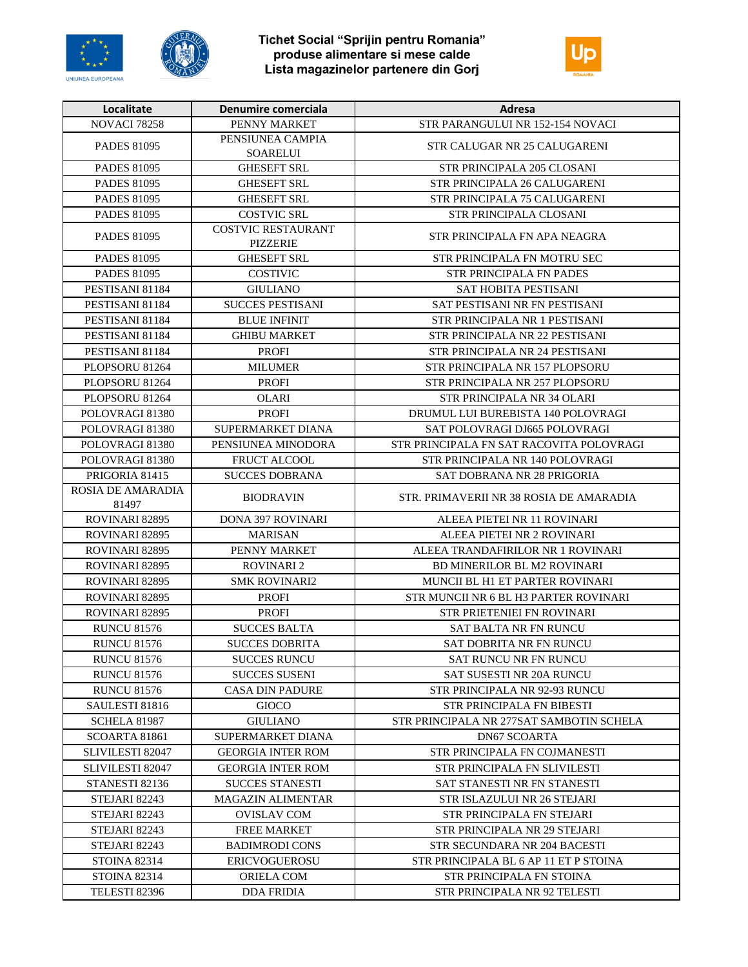





| Localitate                 | Denumire comerciala                          | Adresa                                   |
|----------------------------|----------------------------------------------|------------------------------------------|
| <b>NOVACI 78258</b>        | PENNY MARKET                                 | STR PARANGULUI NR 152-154 NOVACI         |
| <b>PADES 81095</b>         | PENSIUNEA CAMPIA<br><b>SOARELUI</b>          | STR CALUGAR NR 25 CALUGARENI             |
| <b>PADES 81095</b>         | <b>GHESEFT SRL</b>                           | STR PRINCIPALA 205 CLOSANI               |
| <b>PADES 81095</b>         | <b>GHESEFT SRL</b>                           | STR PRINCIPALA 26 CALUGARENI             |
| <b>PADES 81095</b>         | <b>GHESEFT SRL</b>                           | STR PRINCIPALA 75 CALUGARENI             |
| <b>PADES 81095</b>         | <b>COSTVIC SRL</b>                           | STR PRINCIPALA CLOSANI                   |
| <b>PADES 81095</b>         | <b>COSTVIC RESTAURANT</b><br><b>PIZZERIE</b> | STR PRINCIPALA FN APA NEAGRA             |
| <b>PADES 81095</b>         | <b>GHESEFT SRL</b>                           | STR PRINCIPALA FN MOTRU SEC              |
| <b>PADES 81095</b>         | COSTIVIC                                     | <b>STR PRINCIPALA FN PADES</b>           |
| PESTISANI 81184            | <b>GIULIANO</b>                              | SAT HOBITA PESTISANI                     |
| PESTISANI 81184            | <b>SUCCES PESTISANI</b>                      | SAT PESTISANI NR FN PESTISANI            |
| PESTISANI 81184            | <b>BLUE INFINIT</b>                          | STR PRINCIPALA NR 1 PESTISANI            |
| PESTISANI 81184            | <b>GHIBU MARKET</b>                          | STR PRINCIPALA NR 22 PESTISANI           |
| PESTISANI 81184            | <b>PROFI</b>                                 | STR PRINCIPALA NR 24 PESTISANI           |
| PLOPSORU 81264             | <b>MILUMER</b>                               | STR PRINCIPALA NR 157 PLOPSORU           |
| PLOPSORU 81264             | <b>PROFI</b>                                 | STR PRINCIPALA NR 257 PLOPSORU           |
| PLOPSORU 81264             | <b>OLARI</b>                                 | STR PRINCIPALA NR 34 OLARI               |
| POLOVRAGI 81380            | <b>PROFI</b>                                 | DRUMUL LUI BUREBISTA 140 POLOVRAGI       |
| POLOVRAGI 81380            | SUPERMARKET DIANA                            | SAT POLOVRAGI DJ665 POLOVRAGI            |
| POLOVRAGI 81380            | PENSIUNEA MINODORA                           | STR PRINCIPALA FN SAT RACOVITA POLOVRAGI |
| POLOVRAGI 81380            | FRUCT ALCOOL                                 | STR PRINCIPALA NR 140 POLOVRAGI          |
| PRIGORIA 81415             | <b>SUCCES DOBRANA</b>                        | SAT DOBRANA NR 28 PRIGORIA               |
| ROSIA DE AMARADIA<br>81497 | <b>BIODRAVIN</b>                             | STR. PRIMAVERII NR 38 ROSIA DE AMARADIA  |
| ROVINARI 82895             | <b>DONA 397 ROVINARI</b>                     | ALEEA PIETEI NR 11 ROVINARI              |
| ROVINARI 82895             | <b>MARISAN</b>                               | ALEEA PIETEI NR 2 ROVINARI               |
| ROVINARI 82895             | PENNY MARKET                                 | ALEEA TRANDAFIRILOR NR 1 ROVINARI        |
| ROVINARI 82895             | <b>ROVINARI 2</b>                            | BD MINERILOR BL M2 ROVINARI              |
| ROVINARI 82895             | <b>SMK ROVINARI2</b>                         | MUNCII BL H1 ET PARTER ROVINARI          |
| ROVINARI 82895             | <b>PROFI</b>                                 | STR MUNCII NR 6 BL H3 PARTER ROVINARI    |
| ROVINARI 82895             | PROFI                                        | STR PRIETENIEI FN ROVINARI               |
| <b>RUNCU 81576</b>         | <b>SUCCES BALTA</b>                          | <b>SAT BALTA NR FN RUNCU</b>             |
| <b>RUNCU 81576</b>         | <b>SUCCES DOBRITA</b>                        | SAT DOBRITA NR FN RUNCU                  |
| <b>RUNCU 81576</b>         | <b>SUCCES RUNCU</b>                          | SAT RUNCU NR FN RUNCU                    |
| <b>RUNCU 81576</b>         | <b>SUCCES SUSENI</b>                         | SAT SUSESTI NR 20A RUNCU                 |
| <b>RUNCU 81576</b>         | <b>CASA DIN PADURE</b>                       | STR PRINCIPALA NR 92-93 RUNCU            |
| SAULESTI 81816             | <b>GIOCO</b>                                 | STR PRINCIPALA FN BIBESTI                |
| <b>SCHELA 81987</b>        | <b>GIULIANO</b>                              | STR PRINCIPALA NR 277SAT SAMBOTIN SCHELA |
| SCOARTA 81861              | SUPERMARKET DIANA                            | <b>DN67 SCOARTA</b>                      |
| <b>SLIVILESTI 82047</b>    | <b>GEORGIA INTER ROM</b>                     | STR PRINCIPALA FN COJMANESTI             |
| <b>SLIVILESTI 82047</b>    | <b>GEORGIA INTER ROM</b>                     | STR PRINCIPALA FN SLIVILESTI             |
| STANESTI 82136             | <b>SUCCES STANESTI</b>                       | SAT STANESTI NR FN STANESTI              |
| STEJARI 82243              | <b>MAGAZIN ALIMENTAR</b>                     | STR ISLAZULUI NR 26 STEJARI              |
| STEJARI 82243              | <b>OVISLAV COM</b>                           | STR PRINCIPALA FN STEJARI                |
| STEJARI 82243              | <b>FREE MARKET</b>                           | STR PRINCIPALA NR 29 STEJARI             |
| STEJARI 82243              | <b>BADIMRODI CONS</b>                        | STR SECUNDARA NR 204 BACESTI             |
| <b>STOINA 82314</b>        | ERICVOGUEROSU                                | STR PRINCIPALA BL 6 AP 11 ET P STOINA    |
| <b>STOINA 82314</b>        | ORIELA COM                                   | STR PRINCIPALA FN STOINA                 |
| TELESTI 82396              | <b>DDA FRIDIA</b>                            | STR PRINCIPALA NR 92 TELESTI             |